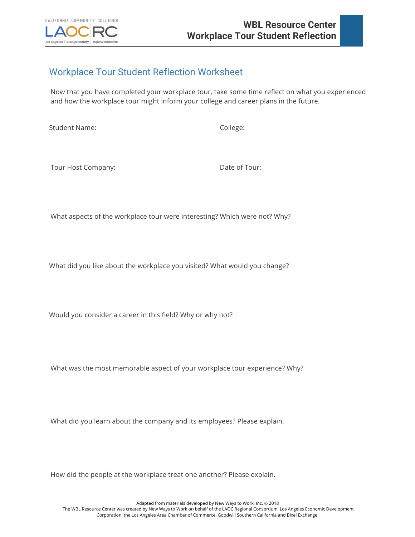

## Workplace Tour Student Reflection Worksheet

Now that you have completed your workplace tour, take some time reflect on what you experienced and how the workplace tour might inform your college and career plans in the future.

Student Name: The College: College:

Tour Host Company: Date of Tour:

What aspects of the workplace tour were interesting? Which were not? Why?

What did you like about the workplace you visited? What would you change?

Would you consider a career in this field? Why or why not?

What was the most memorable aspect of your workplace tour experience? Why?

What did you learn about the company and its employees? Please explain.

How did the people at the workplace treat one another? Please explain.

Adapted from materials developed by New Ways to Work, Inc. @ 2018 The WBL Resource Center was created by New Ways to Work on behalf of the LAOC Regional Consortium, Los Angeles Economic Development Corporation, the Los Angeles Area Chamber of Commerce, Goodwill Southern California and Bixel Exchange.